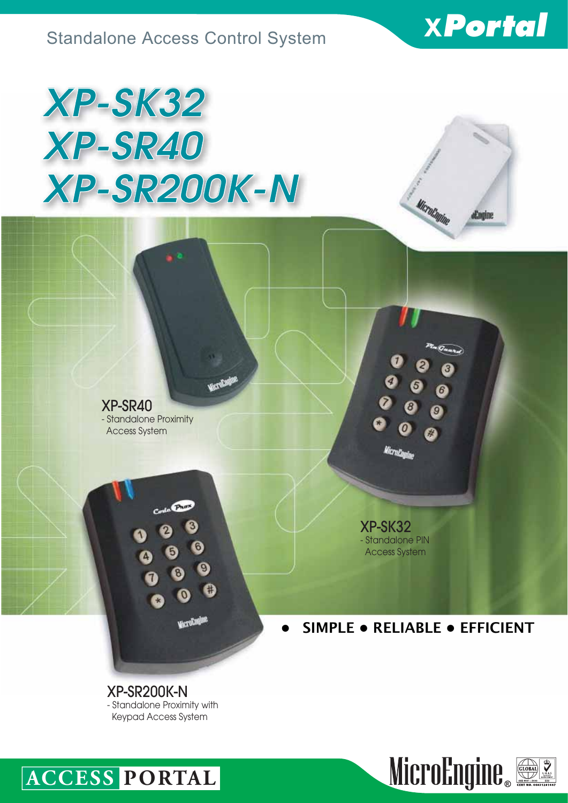

aEngine

Microfanine

# *XP-SK32 XP-SR40 XP-SR200K-N*

XP-SR40 - Standalone Proximity Access System

**CPROP** 

O

**Victorian** 

Mereka

XP-SK32 - Standalone PIN Access System

**• SIMPLE • RELIABLE • EFFICIENT**

XP-SR200K-N - Standalone Proximity with Keypad Access System



## **ACCESS PORTAL**